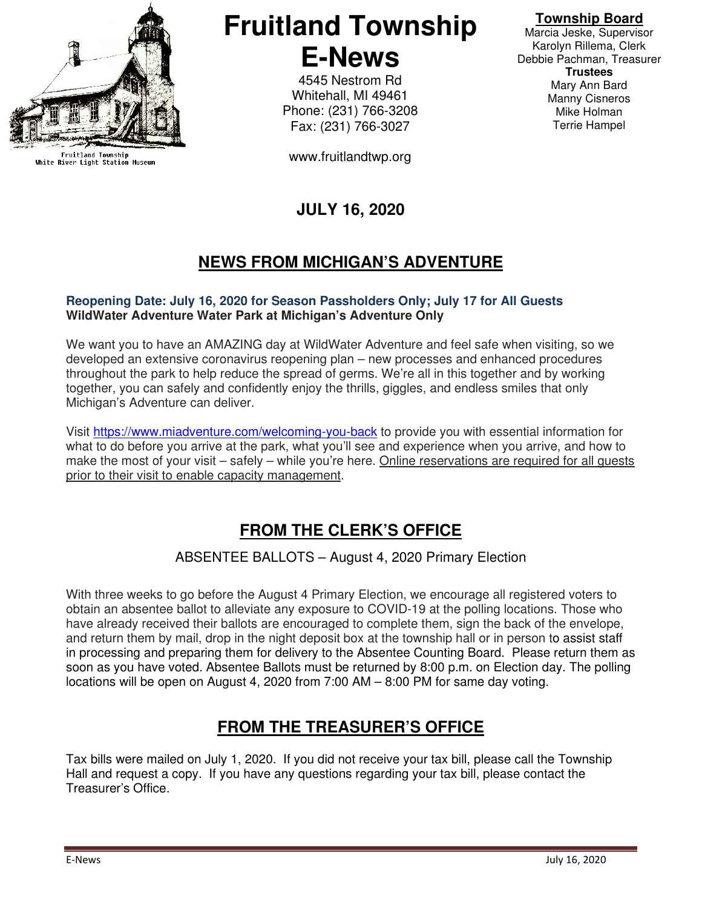

Fruitland Township<br>White River Light Station Museum

# **Fruitland Township E-News**

4545 Nestrom Rd Whitehall, MI 49461 Phone: (231) 766-3208 Fax: (231) 766-3027

www.fruitlandtwp.org

### **JULY 16, 2020**

### **NEWS FROM MICHIGAN'S ADVENTURE**

#### **Reopening Date: July 16, 2020 for Season Passholders Only; July 17 for All Guests WildWater Adventure Water Park at Michigan's Adventure Only**

We want you to have an AMAZING day at WildWater Adventure and feel safe when visiting, so we developed an extensive coronavirus reopening plan – new processes and enhanced procedures throughout the park to help reduce the spread of germs. We're all in this together and by working together, you can safely and confidently enjoy the thrills, giggles, and endless smiles that only Michigan's Adventure can deliver.

Visit https://www.miadventure.com/welcoming-you-back to provide you with essential information for what to do before you arrive at the park, what you'll see and experience when you arrive, and how to make the most of your visit – safely – while you're here. Online reservations are required for all quests prior to their visit to enable capacity management.

### **FROM THE CLERK'S OFFICE**

#### ABSENTEE BALLOTS – August 4, 2020 Primary Election

With three weeks to go before the August 4 Primary Election, we encourage all registered voters to obtain an absentee ballot to alleviate any exposure to COVID-19 at the polling locations. Those who have already received their ballots are encouraged to complete them, sign the back of the envelope, and return them by mail, drop in the night deposit box at the township hall or in person to assist staff in processing and preparing them for delivery to the Absentee Counting Board. Please return them as soon as you have voted. Absentee Ballots must be returned by 8:00 p.m. on Election day. The polling locations will be open on August 4, 2020 from 7:00 AM – 8:00 PM for same day voting.

### **FROM THE TREASURER'S OFFICE**

Tax bills were mailed on July 1, 2020. If you did not receive your tax bill, please call the Township Hall and request a copy. If you have any questions regarding your tax bill, please contact the Treasurer's Office.

## **Township Board**

Marcia Jeske, Supervisor Karolyn Rillema, Clerk Debbie Pachman, Treasurer **Trustees**  Mary Ann Bard Manny Cisneros Mike Holman Terrie Hampel